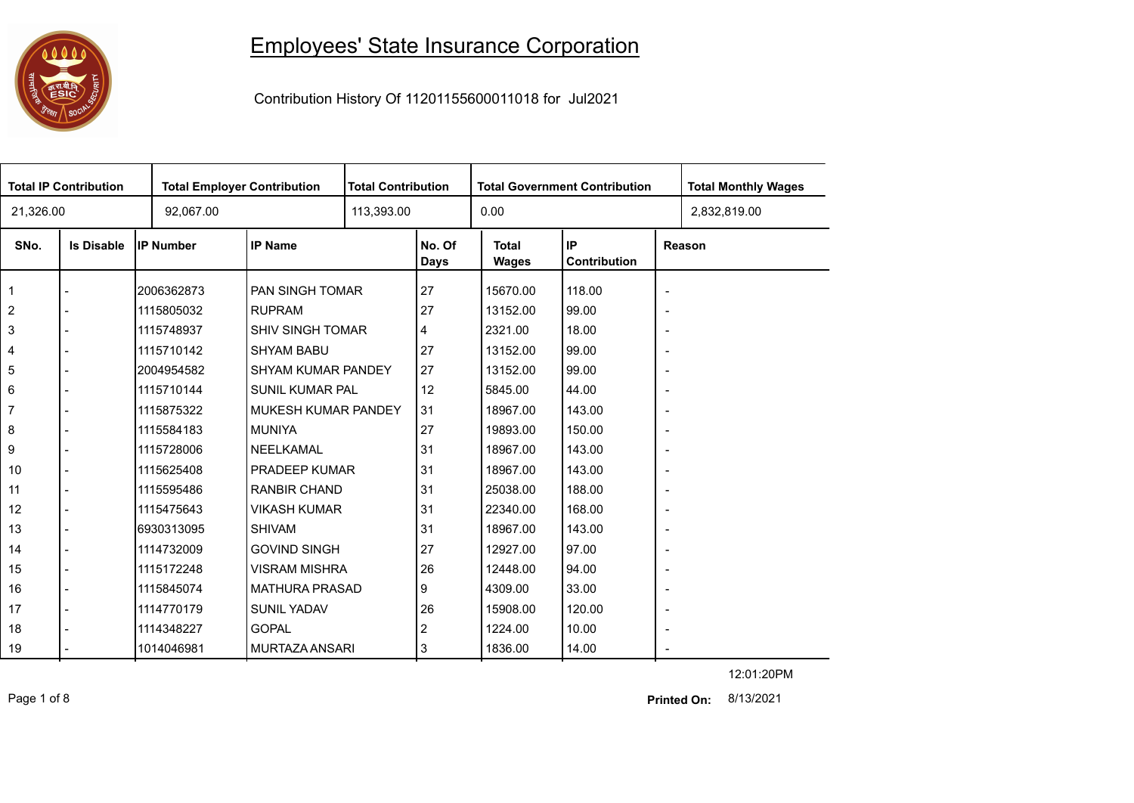## 0000 ESIC<sup>T</sup>

## Employees' State Insurance Corporation

Contribution History Of 11201155600011018 for Jul2021

| <b>Total IP Contribution</b> |                   |                  | <b>Total Employer Contribution</b> |  | <b>Total Contribution</b><br><b>Total Government Contribution</b> |                       |                    |                          | <b>Total Monthly Wages</b> |
|------------------------------|-------------------|------------------|------------------------------------|--|-------------------------------------------------------------------|-----------------------|--------------------|--------------------------|----------------------------|
| 21,326.00                    |                   | 92,067.00        |                                    |  |                                                                   | 0.00                  |                    |                          | 2,832,819.00               |
| SNo.                         | <b>Is Disable</b> | <b>IP Number</b> | <b>IP Name</b>                     |  | No. Of<br><b>Days</b>                                             | <b>Total</b><br>Wages | IP<br>Contribution |                          | Reason                     |
|                              |                   | 2006362873       | <b>PAN SINGH TOMAR</b>             |  | 27                                                                | 15670.00              | 118.00             | $\overline{\phantom{a}}$ |                            |
| $\overline{2}$               |                   | 1115805032       | <b>RUPRAM</b>                      |  | 27                                                                | 13152.00              | 99.00              | $\overline{\phantom{a}}$ |                            |
| 3                            |                   | 1115748937       | <b>SHIV SINGH TOMAR</b>            |  | 4                                                                 | 2321.00               | 18.00              | $\overline{\phantom{a}}$ |                            |
| 4                            |                   | 1115710142       | <b>SHYAM BABU</b>                  |  | 27                                                                | 13152.00              | 99.00              | $\overline{\phantom{a}}$ |                            |
| 5                            |                   | 2004954582       | <b>SHYAM KUMAR PANDEY</b>          |  | 27                                                                | 13152.00              | 99.00              | $\overline{\phantom{a}}$ |                            |
| 6                            |                   | 1115710144       | <b>SUNIL KUMAR PAL</b>             |  | 12                                                                | 5845.00               | 44.00              | $\overline{\phantom{a}}$ |                            |
| $\overline{7}$               |                   | 1115875322       | MUKESH KUMAR PANDEY                |  | 31                                                                | 18967.00              | 143.00             | $\overline{\phantom{a}}$ |                            |
| 8                            |                   | 1115584183       | <b>MUNIYA</b>                      |  | 27                                                                | 19893.00              | 150.00             | $\overline{\phantom{a}}$ |                            |
| 9                            |                   | 1115728006       | NEELKAMAL                          |  | 31                                                                | 18967.00              | 143.00             | $\overline{\phantom{a}}$ |                            |
| 10                           |                   | 1115625408       | PRADEEP KUMAR                      |  | 31                                                                | 18967.00              | 143.00             | $\overline{\phantom{a}}$ |                            |
| 11                           |                   | 1115595486       | <b>RANBIR CHAND</b>                |  | 31                                                                | 25038.00              | 188.00             | $\overline{\phantom{a}}$ |                            |
| 12                           |                   | 1115475643       | <b>VIKASH KUMAR</b>                |  | 31                                                                | 22340.00              | 168.00             | $\overline{\phantom{a}}$ |                            |
| 13                           |                   | 6930313095       | <b>SHIVAM</b>                      |  | 31                                                                | 18967.00              | 143.00             | $\overline{\phantom{a}}$ |                            |
| 14                           |                   | 1114732009       | <b>GOVIND SINGH</b>                |  | 27                                                                | 12927.00              | 97.00              | $\overline{\phantom{a}}$ |                            |
| 15                           |                   | 1115172248       | <b>VISRAM MISHRA</b>               |  | 26                                                                | 12448.00              | 94.00              | $\blacksquare$           |                            |
| 16                           |                   | 1115845074       | <b>MATHURA PRASAD</b>              |  | 9                                                                 | 4309.00               | 33.00              | $\overline{\phantom{a}}$ |                            |
| 17                           |                   | 1114770179       | <b>SUNIL YADAV</b>                 |  | 26                                                                | 15908.00              | 120.00             | $\overline{\phantom{a}}$ |                            |
| 18                           |                   | 1114348227       | <b>GOPAL</b>                       |  | 2                                                                 | 1224.00               | 10.00              | $\overline{\phantom{a}}$ |                            |
| 19                           |                   | 1014046981       | MURTAZA ANSARI                     |  | 3                                                                 | 1836.00               | 14.00              |                          |                            |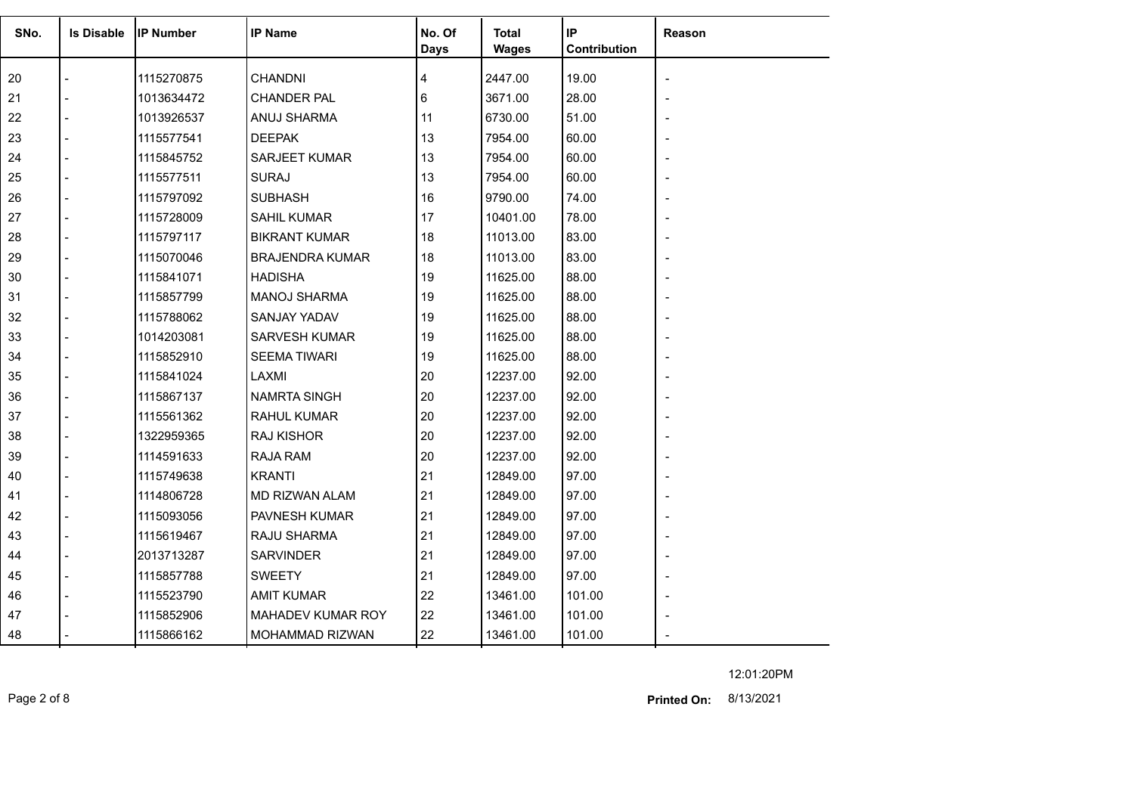| SNo. | <b>Is Disable</b> | <b>IP Number</b> | <b>IP Name</b>         | No. Of<br><b>Days</b> | <b>Total</b><br><b>Wages</b> | IP<br>Contribution | Reason |
|------|-------------------|------------------|------------------------|-----------------------|------------------------------|--------------------|--------|
| 20   |                   | 1115270875       | <b>CHANDNI</b>         | 4                     | 2447.00                      | 19.00              |        |
| 21   |                   | 1013634472       | <b>CHANDER PAL</b>     | 6                     | 3671.00                      | 28.00              |        |
| 22   |                   | 1013926537       | ANUJ SHARMA            | 11                    | 6730.00                      | 51.00              |        |
| 23   |                   | 1115577541       | <b>DEEPAK</b>          | 13                    | 7954.00                      | 60.00              |        |
| 24   |                   | 1115845752       | <b>SARJEET KUMAR</b>   | 13                    | 7954.00                      | 60.00              |        |
| 25   |                   | 1115577511       | <b>SURAJ</b>           | 13                    | 7954.00                      | 60.00              |        |
| 26   |                   | 1115797092       | <b>SUBHASH</b>         | 16                    | 9790.00                      | 74.00              |        |
| 27   |                   | 1115728009       | <b>SAHIL KUMAR</b>     | 17                    | 10401.00                     | 78.00              |        |
| 28   |                   | 1115797117       | <b>BIKRANT KUMAR</b>   | 18                    | 11013.00                     | 83.00              |        |
| 29   |                   | 1115070046       | <b>BRAJENDRA KUMAR</b> | 18                    | 11013.00                     | 83.00              |        |
| 30   |                   | 1115841071       | <b>HADISHA</b>         | 19                    | 11625.00                     | 88.00              |        |
| 31   |                   | 1115857799       | <b>MANOJ SHARMA</b>    | 19                    | 11625.00                     | 88.00              |        |
| 32   |                   | 1115788062       | SANJAY YADAV           | 19                    | 11625.00                     | 88.00              |        |
| 33   |                   | 1014203081       | SARVESH KUMAR          | 19                    | 11625.00                     | 88.00              |        |
| 34   |                   | 1115852910       | <b>SEEMA TIWARI</b>    | 19                    | 11625.00                     | 88.00              |        |
| 35   |                   | 1115841024       | LAXMI                  | 20                    | 12237.00                     | 92.00              |        |
| 36   |                   | 1115867137       | <b>NAMRTA SINGH</b>    | 20                    | 12237.00                     | 92.00              |        |
| 37   |                   | 1115561362       | <b>RAHUL KUMAR</b>     | 20                    | 12237.00                     | 92.00              |        |
| 38   |                   | 1322959365       | <b>RAJ KISHOR</b>      | 20                    | 12237.00                     | 92.00              |        |
| 39   |                   | 1114591633       | <b>RAJA RAM</b>        | 20                    | 12237.00                     | 92.00              |        |
| 40   |                   | 1115749638       | <b>KRANTI</b>          | 21                    | 12849.00                     | 97.00              |        |
| 41   |                   | 1114806728       | MD RIZWAN ALAM         | 21                    | 12849.00                     | 97.00              |        |
| 42   |                   | 1115093056       | PAVNESH KUMAR          | 21                    | 12849.00                     | 97.00              |        |
| 43   |                   | 1115619467       | RAJU SHARMA            | 21                    | 12849.00                     | 97.00              |        |
| 44   |                   | 2013713287       | <b>SARVINDER</b>       | 21                    | 12849.00                     | 97.00              |        |
| 45   |                   | 1115857788       | <b>SWEETY</b>          | 21                    | 12849.00                     | 97.00              |        |
| 46   |                   | 1115523790       | <b>AMIT KUMAR</b>      | 22                    | 13461.00                     | 101.00             |        |
| 47   |                   | 1115852906       | MAHADEV KUMAR ROY      | 22                    | 13461.00                     | 101.00             |        |
| 48   |                   | 1115866162       | MOHAMMAD RIZWAN        | 22                    | 13461.00                     | 101.00             |        |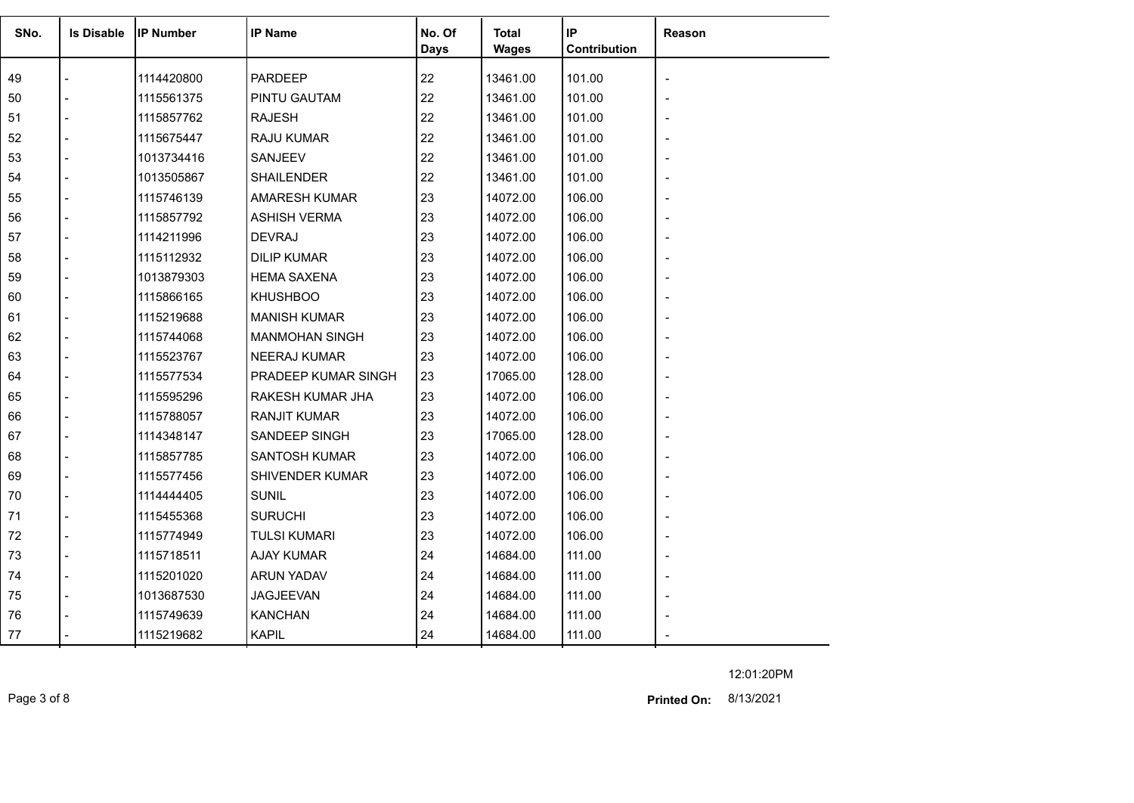| SNo. | <b>Is Disable</b> | <b>IP Number</b> | <b>IP Name</b>        | No. Of<br><b>Days</b> | Total<br><b>Wages</b> | IP<br>Contribution | Reason                   |
|------|-------------------|------------------|-----------------------|-----------------------|-----------------------|--------------------|--------------------------|
| 49   |                   | 1114420800       | <b>PARDEEP</b>        | 22                    | 13461.00              | 101.00             |                          |
| 50   |                   | 1115561375       | PINTU GAUTAM          | 22                    | 13461.00              | 101.00             |                          |
| 51   |                   | 1115857762       | <b>RAJESH</b>         | 22                    | 13461.00              | 101.00             | $\overline{\phantom{0}}$ |
| 52   |                   | 1115675447       | RAJU KUMAR            | 22                    | 13461.00              | 101.00             |                          |
| 53   |                   | 1013734416       | SANJEEV               | 22                    | 13461.00              | 101.00             |                          |
| 54   |                   | 1013505867       | <b>SHAILENDER</b>     | 22                    | 13461.00              | 101.00             |                          |
| 55   |                   | 1115746139       | <b>AMARESH KUMAR</b>  | 23                    | 14072.00              | 106.00             |                          |
| 56   |                   | 1115857792       | <b>ASHISH VERMA</b>   | 23                    | 14072.00              | 106.00             |                          |
| 57   |                   | 1114211996       | <b>DEVRAJ</b>         | 23                    | 14072.00              | 106.00             |                          |
| 58   |                   | 1115112932       | <b>DILIP KUMAR</b>    | 23                    | 14072.00              | 106.00             | $\blacksquare$           |
| 59   |                   | 1013879303       | <b>HEMA SAXENA</b>    | 23                    | 14072.00              | 106.00             |                          |
| 60   |                   | 1115866165       | <b>KHUSHBOO</b>       | 23                    | 14072.00              | 106.00             |                          |
| 61   |                   | 1115219688       | <b>MANISH KUMAR</b>   | 23                    | 14072.00              | 106.00             |                          |
| 62   |                   | 1115744068       | <b>MANMOHAN SINGH</b> | 23                    | 14072.00              | 106.00             |                          |
| 63   |                   | 1115523767       | <b>NEERAJ KUMAR</b>   | 23                    | 14072.00              | 106.00             |                          |
| 64   |                   | 1115577534       | PRADEEP KUMAR SINGH   | 23                    | 17065.00              | 128.00             |                          |
| 65   |                   | 1115595296       | RAKESH KUMAR JHA      | 23                    | 14072.00              | 106.00             |                          |
| 66   |                   | 1115788057       | <b>RANJIT KUMAR</b>   | 23                    | 14072.00              | 106.00             |                          |
| 67   |                   | 1114348147       | SANDEEP SINGH         | 23                    | 17065.00              | 128.00             |                          |
| 68   |                   | 1115857785       | <b>SANTOSH KUMAR</b>  | 23                    | 14072.00              | 106.00             |                          |
| 69   |                   | 1115577456       | SHIVENDER KUMAR       | 23                    | 14072.00              | 106.00             |                          |
| 70   |                   | 1114444405       | <b>SUNIL</b>          | 23                    | 14072.00              | 106.00             |                          |
| 71   |                   | 1115455368       | <b>SURUCHI</b>        | 23                    | 14072.00              | 106.00             |                          |
| 72   |                   | 1115774949       | <b>TULSI KUMARI</b>   | 23                    | 14072.00              | 106.00             |                          |
| 73   |                   | 1115718511       | <b>AJAY KUMAR</b>     | 24                    | 14684.00              | 111.00             |                          |
| 74   |                   | 1115201020       | <b>ARUN YADAV</b>     | 24                    | 14684.00              | 111.00             | $\blacksquare$           |
| 75   |                   | 1013687530       | <b>JAGJEEVAN</b>      | 24                    | 14684.00              | 111.00             |                          |
| 76   |                   | 1115749639       | <b>KANCHAN</b>        | 24                    | 14684.00              | 111.00             |                          |
| 77   |                   | 1115219682       | <b>KAPIL</b>          | 24                    | 14684.00              | 111.00             |                          |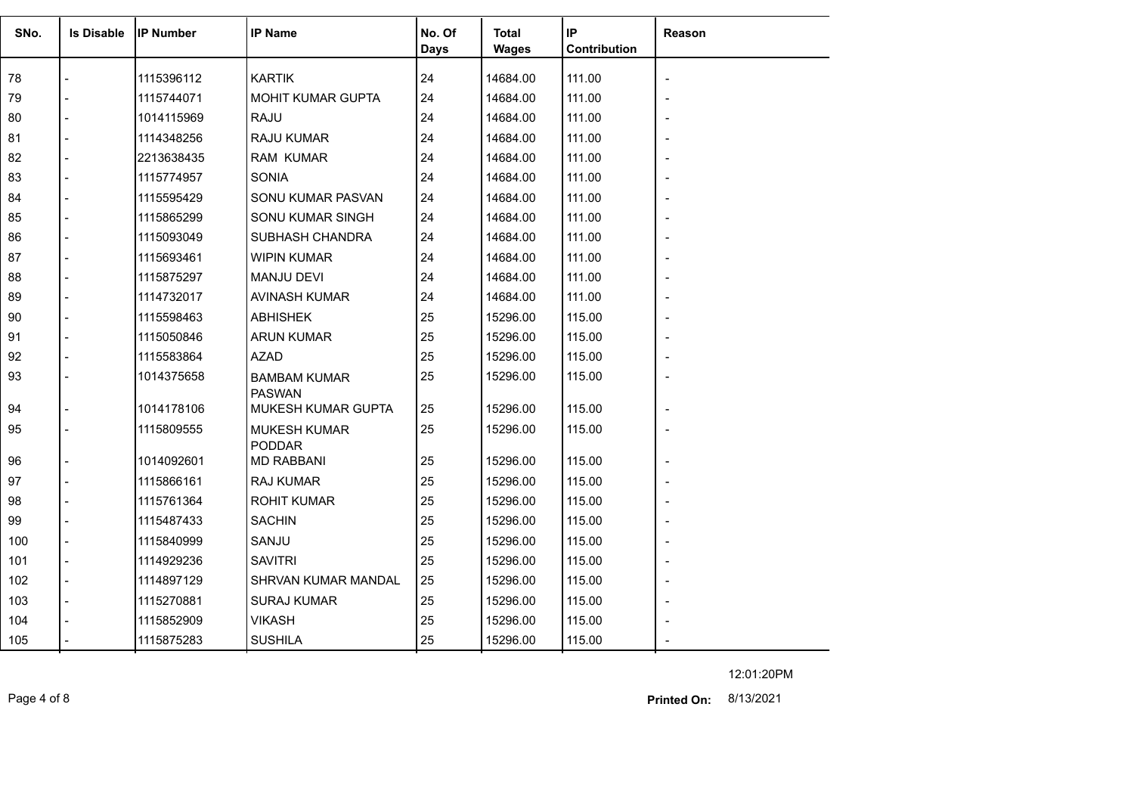| SNo. | <b>Is Disable</b> | <b>IP Number</b> | <b>IP Name</b>                       | No. Of<br><b>Days</b> | <b>Total</b><br><b>Wages</b> | IP<br>Contribution | <b>Reason</b> |
|------|-------------------|------------------|--------------------------------------|-----------------------|------------------------------|--------------------|---------------|
| 78   |                   | 1115396112       | <b>KARTIK</b>                        | 24                    | 14684.00                     | 111.00             |               |
| 79   |                   | 1115744071       | MOHIT KUMAR GUPTA                    | 24                    | 14684.00                     | 111.00             |               |
| 80   |                   | 1014115969       | <b>RAJU</b>                          | 24                    | 14684.00                     | 111.00             |               |
| 81   |                   | 1114348256       | <b>RAJU KUMAR</b>                    | 24                    | 14684.00                     | 111.00             |               |
| 82   |                   | 2213638435       | <b>RAM KUMAR</b>                     | 24                    | 14684.00                     | 111.00             |               |
| 83   |                   | 1115774957       | <b>SONIA</b>                         | 24                    | 14684.00                     | 111.00             |               |
| 84   |                   | 1115595429       | SONU KUMAR PASVAN                    | 24                    | 14684.00                     | 111.00             |               |
| 85   |                   | 1115865299       | SONU KUMAR SINGH                     | 24                    | 14684.00                     | 111.00             |               |
| 86   |                   | 1115093049       | SUBHASH CHANDRA                      | 24                    | 14684.00                     | 111.00             |               |
| 87   |                   | 1115693461       | <b>WIPIN KUMAR</b>                   | 24                    | 14684.00                     | 111.00             |               |
| 88   |                   | 1115875297       | <b>MANJU DEVI</b>                    | 24                    | 14684.00                     | 111.00             |               |
| 89   |                   | 1114732017       | <b>AVINASH KUMAR</b>                 | 24                    | 14684.00                     | 111.00             |               |
| 90   |                   | 1115598463       | <b>ABHISHEK</b>                      | 25                    | 15296.00                     | 115.00             |               |
| 91   |                   | 1115050846       | <b>ARUN KUMAR</b>                    | 25                    | 15296.00                     | 115.00             |               |
| 92   |                   | 1115583864       | <b>AZAD</b>                          | 25                    | 15296.00                     | 115.00             |               |
| 93   |                   | 1014375658       | <b>BAMBAM KUMAR</b><br><b>PASWAN</b> | 25                    | 15296.00                     | 115.00             |               |
| 94   |                   | 1014178106       | MUKESH KUMAR GUPTA                   | 25                    | 15296.00                     | 115.00             |               |
| 95   |                   | 1115809555       | <b>MUKESH KUMAR</b><br><b>PODDAR</b> | 25                    | 15296.00                     | 115.00             |               |
| 96   |                   | 1014092601       | <b>MD RABBANI</b>                    | 25                    | 15296.00                     | 115.00             |               |
| 97   |                   | 1115866161       | RAJ KUMAR                            | 25                    | 15296.00                     | 115.00             |               |
| 98   |                   | 1115761364       | <b>ROHIT KUMAR</b>                   | 25                    | 15296.00                     | 115.00             |               |
| 99   |                   | 1115487433       | <b>SACHIN</b>                        | 25                    | 15296.00                     | 115.00             |               |
| 100  |                   | 1115840999       | SANJU                                | 25                    | 15296.00                     | 115.00             |               |
| 101  |                   | 1114929236       | <b>SAVITRI</b>                       | 25                    | 15296.00                     | 115.00             |               |
| 102  |                   | 1114897129       | SHRVAN KUMAR MANDAL                  | 25                    | 15296.00                     | 115.00             |               |
| 103  |                   | 1115270881       | <b>SURAJ KUMAR</b>                   | 25                    | 15296.00                     | 115.00             |               |
| 104  |                   | 1115852909       | <b>VIKASH</b>                        | 25                    | 15296.00                     | 115.00             |               |
| 105  |                   | 1115875283       | <b>SUSHILA</b>                       | 25                    | 15296.00                     | 115.00             |               |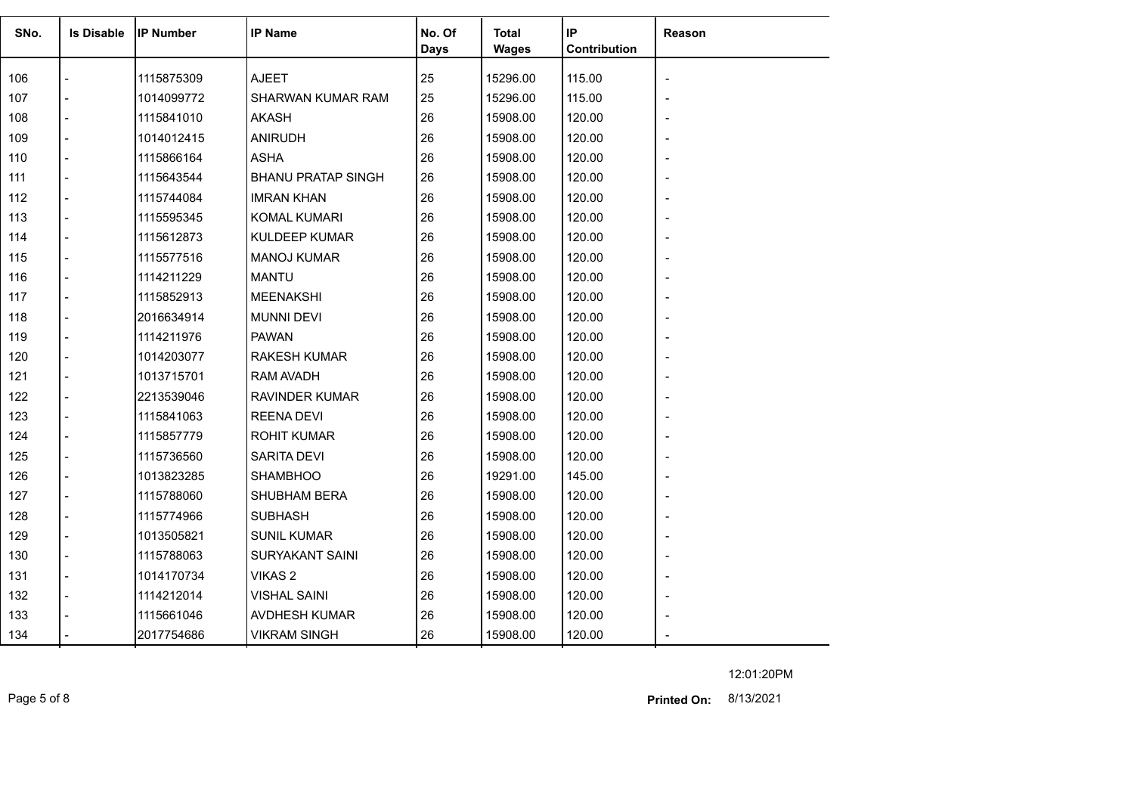| SNo. | <b>Is Disable</b> | <b>IP Number</b> | <b>IP Name</b>            | No. Of<br><b>Days</b> | <b>Total</b><br><b>Wages</b> | IP<br>Contribution | Reason |
|------|-------------------|------------------|---------------------------|-----------------------|------------------------------|--------------------|--------|
| 106  |                   | 1115875309       | <b>AJEET</b>              | 25                    | 15296.00                     | 115.00             |        |
| 107  |                   | 1014099772       | SHARWAN KUMAR RAM         | 25                    | 15296.00                     | 115.00             |        |
| 108  |                   | 1115841010       | <b>AKASH</b>              | 26                    | 15908.00                     | 120.00             |        |
| 109  |                   | 1014012415       | <b>ANIRUDH</b>            | 26                    | 15908.00                     | 120.00             |        |
| 110  |                   | 1115866164       | <b>ASHA</b>               | 26                    | 15908.00                     | 120.00             |        |
| 111  |                   | 1115643544       | <b>BHANU PRATAP SINGH</b> | 26                    | 15908.00                     | 120.00             |        |
| 112  |                   | 1115744084       | <b>IMRAN KHAN</b>         | 26                    | 15908.00                     | 120.00             |        |
| 113  | $\overline{a}$    | 1115595345       | KOMAL KUMARI              | 26                    | 15908.00                     | 120.00             |        |
| 114  | $\blacksquare$    | 1115612873       | <b>KULDEEP KUMAR</b>      | 26                    | 15908.00                     | 120.00             |        |
| 115  |                   | 1115577516       | <b>MANOJ KUMAR</b>        | 26                    | 15908.00                     | 120.00             |        |
| 116  |                   | 1114211229       | <b>MANTU</b>              | 26                    | 15908.00                     | 120.00             |        |
| 117  |                   | 1115852913       | <b>MEENAKSHI</b>          | 26                    | 15908.00                     | 120.00             |        |
| 118  |                   | 2016634914       | <b>MUNNI DEVI</b>         | 26                    | 15908.00                     | 120.00             |        |
| 119  |                   | 1114211976       | <b>PAWAN</b>              | 26                    | 15908.00                     | 120.00             |        |
| 120  |                   | 1014203077       | <b>RAKESH KUMAR</b>       | 26                    | 15908.00                     | 120.00             |        |
| 121  |                   | 1013715701       | <b>RAM AVADH</b>          | 26                    | 15908.00                     | 120.00             |        |
| 122  |                   | 2213539046       | <b>RAVINDER KUMAR</b>     | 26                    | 15908.00                     | 120.00             |        |
| 123  |                   | 1115841063       | <b>REENA DEVI</b>         | 26                    | 15908.00                     | 120.00             |        |
| 124  |                   | 1115857779       | <b>ROHIT KUMAR</b>        | 26                    | 15908.00                     | 120.00             |        |
| 125  |                   | 1115736560       | <b>SARITA DEVI</b>        | 26                    | 15908.00                     | 120.00             |        |
| 126  |                   | 1013823285       | <b>SHAMBHOO</b>           | 26                    | 19291.00                     | 145.00             |        |
| 127  |                   | 1115788060       | SHUBHAM BERA              | 26                    | 15908.00                     | 120.00             |        |
| 128  |                   | 1115774966       | <b>SUBHASH</b>            | 26                    | 15908.00                     | 120.00             |        |
| 129  |                   | 1013505821       | <b>SUNIL KUMAR</b>        | 26                    | 15908.00                     | 120.00             |        |
| 130  | $\overline{a}$    | 1115788063       | <b>SURYAKANT SAINI</b>    | 26                    | 15908.00                     | 120.00             |        |
| 131  | $\overline{a}$    | 1014170734       | VIKAS <sub>2</sub>        | 26                    | 15908.00                     | 120.00             |        |
| 132  |                   | 1114212014       | <b>VISHAL SAINI</b>       | 26                    | 15908.00                     | 120.00             |        |
| 133  |                   | 1115661046       | AVDHESH KUMAR             | 26                    | 15908.00                     | 120.00             |        |
| 134  |                   | 2017754686       | <b>VIKRAM SINGH</b>       | 26                    | 15908.00                     | 120.00             |        |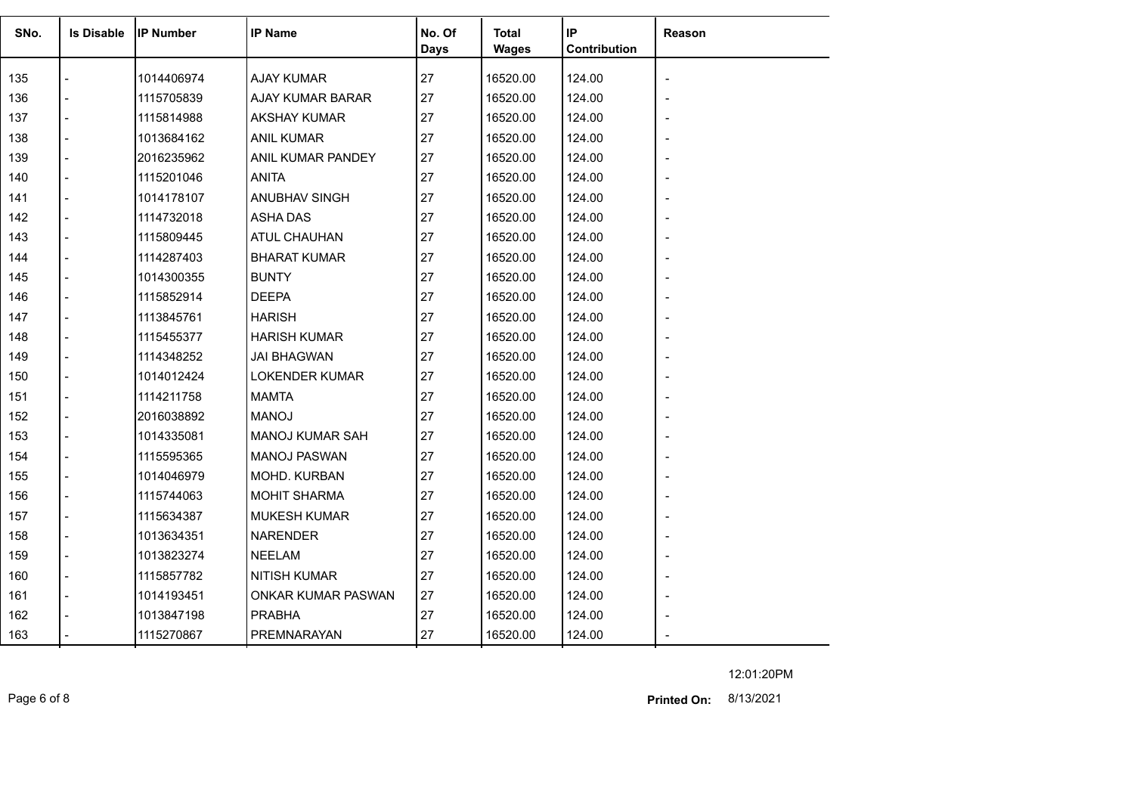| SNo. | <b>Is Disable</b> | <b>IP Number</b> | <b>IP Name</b>            | No. Of<br><b>Days</b> | <b>Total</b><br><b>Wages</b> | IP<br>Contribution | Reason |
|------|-------------------|------------------|---------------------------|-----------------------|------------------------------|--------------------|--------|
| 135  |                   | 1014406974       | <b>AJAY KUMAR</b>         | 27                    | 16520.00                     | 124.00             |        |
| 136  |                   | 1115705839       | AJAY KUMAR BARAR          | 27                    | 16520.00                     | 124.00             |        |
| 137  |                   | 1115814988       | <b>AKSHAY KUMAR</b>       | 27                    | 16520.00                     | 124.00             |        |
| 138  |                   | 1013684162       | <b>ANIL KUMAR</b>         | 27                    | 16520.00                     | 124.00             |        |
| 139  |                   | 2016235962       | ANIL KUMAR PANDEY         | 27                    | 16520.00                     | 124.00             |        |
| 140  |                   | 1115201046       | <b>ANITA</b>              | 27                    | 16520.00                     | 124.00             |        |
| 141  |                   | 1014178107       | ANUBHAV SINGH             | 27                    | 16520.00                     | 124.00             |        |
| 142  |                   | 1114732018       | ASHA DAS                  | 27                    | 16520.00                     | 124.00             |        |
| 143  |                   | 1115809445       | ATUL CHAUHAN              | 27                    | 16520.00                     | 124.00             |        |
| 144  |                   | 1114287403       | <b>BHARAT KUMAR</b>       | 27                    | 16520.00                     | 124.00             |        |
| 145  |                   | 1014300355       | <b>BUNTY</b>              | 27                    | 16520.00                     | 124.00             |        |
| 146  |                   | 1115852914       | <b>DEEPA</b>              | 27                    | 16520.00                     | 124.00             |        |
| 147  |                   | 1113845761       | <b>HARISH</b>             | 27                    | 16520.00                     | 124.00             |        |
| 148  |                   | 1115455377       | <b>HARISH KUMAR</b>       | 27                    | 16520.00                     | 124.00             |        |
| 149  |                   | 1114348252       | <b>JAI BHAGWAN</b>        | 27                    | 16520.00                     | 124.00             |        |
| 150  |                   | 1014012424       | <b>LOKENDER KUMAR</b>     | 27                    | 16520.00                     | 124.00             |        |
| 151  |                   | 1114211758       | <b>MAMTA</b>              | 27                    | 16520.00                     | 124.00             |        |
| 152  |                   | 2016038892       | <b>MANOJ</b>              | 27                    | 16520.00                     | 124.00             |        |
| 153  |                   | 1014335081       | <b>MANOJ KUMAR SAH</b>    | 27                    | 16520.00                     | 124.00             |        |
| 154  |                   | 1115595365       | <b>MANOJ PASWAN</b>       | 27                    | 16520.00                     | 124.00             |        |
| 155  |                   | 1014046979       | MOHD. KURBAN              | 27                    | 16520.00                     | 124.00             |        |
| 156  |                   | 1115744063       | <b>MOHIT SHARMA</b>       | 27                    | 16520.00                     | 124.00             |        |
| 157  |                   | 1115634387       | <b>MUKESH KUMAR</b>       | 27                    | 16520.00                     | 124.00             |        |
| 158  |                   | 1013634351       | <b>NARENDER</b>           | 27                    | 16520.00                     | 124.00             |        |
| 159  |                   | 1013823274       | <b>NEELAM</b>             | 27                    | 16520.00                     | 124.00             |        |
| 160  | $\overline{a}$    | 1115857782       | <b>NITISH KUMAR</b>       | 27                    | 16520.00                     | 124.00             |        |
| 161  |                   | 1014193451       | <b>ONKAR KUMAR PASWAN</b> | 27                    | 16520.00                     | 124.00             |        |
| 162  |                   | 1013847198       | <b>PRABHA</b>             | 27                    | 16520.00                     | 124.00             |        |
| 163  |                   | 1115270867       | PREMNARAYAN               | 27                    | 16520.00                     | 124.00             |        |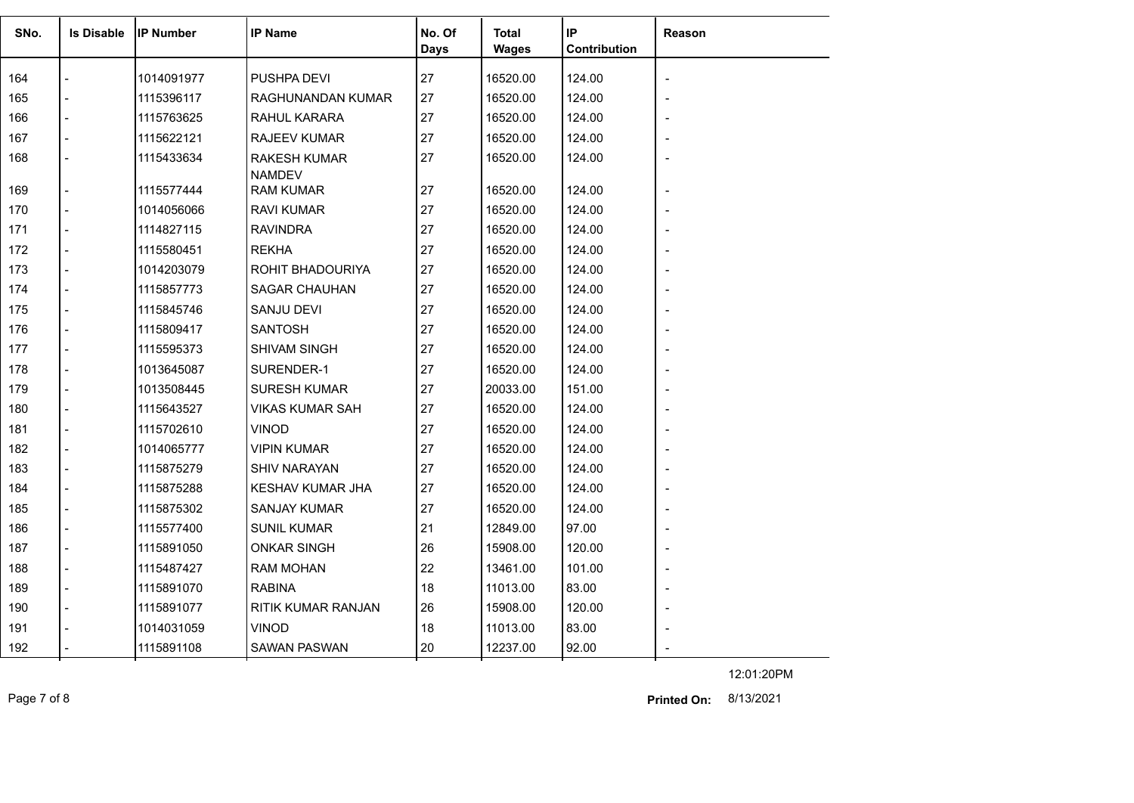| SNo. | <b>Is Disable</b> | <b>IIP Number</b> | <b>IP Name</b>                       | No. Of | <b>Total</b> | IP           | <b>Reason</b> |
|------|-------------------|-------------------|--------------------------------------|--------|--------------|--------------|---------------|
|      |                   |                   |                                      | Days   | <b>Wages</b> | Contribution |               |
| 164  |                   | 1014091977        | PUSHPA DEVI                          | 27     | 16520.00     | 124.00       |               |
| 165  |                   | 1115396117        | RAGHUNANDAN KUMAR                    | 27     | 16520.00     | 124.00       |               |
| 166  |                   | 1115763625        | RAHUL KARARA                         | 27     | 16520.00     | 124.00       |               |
| 167  |                   | 1115622121        | <b>RAJEEV KUMAR</b>                  | 27     | 16520.00     | 124.00       |               |
| 168  |                   | 1115433634        | <b>RAKESH KUMAR</b><br><b>NAMDEV</b> | 27     | 16520.00     | 124.00       |               |
| 169  |                   | 1115577444        | <b>RAM KUMAR</b>                     | 27     | 16520.00     | 124.00       |               |
| 170  |                   | 1014056066        | <b>RAVI KUMAR</b>                    | 27     | 16520.00     | 124.00       |               |
| 171  |                   | 1114827115        | <b>RAVINDRA</b>                      | 27     | 16520.00     | 124.00       |               |
| 172  |                   | 1115580451        | <b>REKHA</b>                         | 27     | 16520.00     | 124.00       |               |
| 173  |                   | 1014203079        | ROHIT BHADOURIYA                     | 27     | 16520.00     | 124.00       |               |
| 174  |                   | 1115857773        | <b>SAGAR CHAUHAN</b>                 | 27     | 16520.00     | 124.00       |               |
| 175  |                   | 1115845746        | SANJU DEVI                           | 27     | 16520.00     | 124.00       |               |
| 176  |                   | 1115809417        | <b>SANTOSH</b>                       | 27     | 16520.00     | 124.00       |               |
| 177  |                   | 1115595373        | SHIVAM SINGH                         | 27     | 16520.00     | 124.00       |               |
| 178  |                   | 1013645087        | SURENDER-1                           | 27     | 16520.00     | 124.00       |               |
| 179  |                   | 1013508445        | <b>SURESH KUMAR</b>                  | 27     | 20033.00     | 151.00       |               |
| 180  |                   | 1115643527        | <b>VIKAS KUMAR SAH</b>               | 27     | 16520.00     | 124.00       |               |
| 181  | $\overline{a}$    | 1115702610        | <b>VINOD</b>                         | 27     | 16520.00     | 124.00       |               |
| 182  |                   | 1014065777        | <b>VIPIN KUMAR</b>                   | 27     | 16520.00     | 124.00       |               |
| 183  |                   | 1115875279        | <b>SHIV NARAYAN</b>                  | 27     | 16520.00     | 124.00       |               |
| 184  |                   | 1115875288        | <b>KESHAV KUMAR JHA</b>              | 27     | 16520.00     | 124.00       |               |
| 185  |                   | 1115875302        | <b>SANJAY KUMAR</b>                  | 27     | 16520.00     | 124.00       |               |
| 186  |                   | 1115577400        | <b>SUNIL KUMAR</b>                   | 21     | 12849.00     | 97.00        |               |
| 187  |                   | 1115891050        | <b>ONKAR SINGH</b>                   | 26     | 15908.00     | 120.00       |               |
| 188  |                   | 1115487427        | <b>RAM MOHAN</b>                     | 22     | 13461.00     | 101.00       |               |
| 189  |                   | 1115891070        | <b>RABINA</b>                        | 18     | 11013.00     | 83.00        |               |
| 190  |                   | 1115891077        | RITIK KUMAR RANJAN                   | 26     | 15908.00     | 120.00       |               |
| 191  |                   | 1014031059        | <b>VINOD</b>                         | 18     | 11013.00     | 83.00        |               |
| 192  |                   | 1115891108        | <b>SAWAN PASWAN</b>                  | 20     | 12237.00     | 92.00        |               |